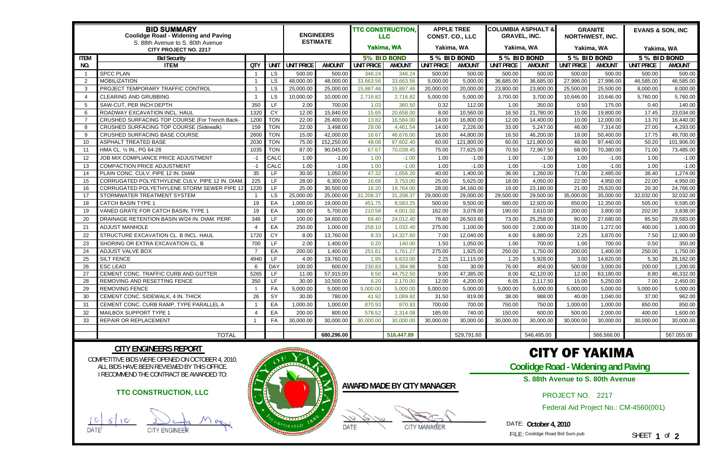| <b>BID SUMMARY</b><br><b>Coolidge Road - Widening and Paving</b><br>S. 88th Avenue to S. 80th Avenue |                                                |                |             |                   | <b>ENGINEERS</b><br><b>ESTIMATE</b> | <b>TTC CONSTRUCTION,</b><br><b>LLC</b> |               | <b>APPLE TREE</b><br><b>CONST. CO., LLC</b> |               | <b>COLUMBIA ASPHALT &amp;</b><br><b>GRAVEL, INC.</b> |               | <b>GRANITE</b><br><b>NORTHWEST, INC.</b> |            | <b>EVANS &amp; SON, INC</b> |               |  |
|------------------------------------------------------------------------------------------------------|------------------------------------------------|----------------|-------------|-------------------|-------------------------------------|----------------------------------------|---------------|---------------------------------------------|---------------|------------------------------------------------------|---------------|------------------------------------------|------------|-----------------------------|---------------|--|
| <b>CITY PROJECT NO. 2217</b>                                                                         |                                                |                |             |                   |                                     |                                        | Yakima, WA    |                                             | Yakima, WA    |                                                      | Yakima, WA    |                                          | Yakima, WA |                             | Yakima, WA    |  |
| <b>ITEM</b>                                                                                          | <b>Bid Security</b>                            |                |             |                   |                                     | 5% BID BOND                            |               | 5 % BID BOND                                |               | 5 % BID BOND                                         |               | 5 % BID BOND                             |            | 5 % BID BOND                |               |  |
| NO.                                                                                                  | <b>ITEM</b>                                    | QTY            | <b>UNIT</b> | <b>UNIT PRICE</b> | <b>AMOUNT</b>                       | <b>UNIT PRICE</b>                      | <b>AMOUNT</b> | <b>UNIT PRICE</b>                           | <b>AMOUNT</b> | <b>UNIT PRICE</b>                                    | <b>AMOUNT</b> | <b>UNIT PRICE</b>                        | AMOUNT     | <b>UNIT PRICE</b>           | <b>AMOUNT</b> |  |
|                                                                                                      | <b>SPCC PLAN</b>                               |                | <b>LS</b>   | 500.00            | 500.00                              | 346.24                                 | 346.24        | 500.00                                      | 500.00        | 500.00                                               | 500.00        | 500.00                                   | 500.00     | 500.00                      | 500.00        |  |
| $\overline{2}$                                                                                       | <b>MOBILIZATION</b>                            |                | LS          | 48,000.00         | 48,000.00                           | 33,663.56                              | 33,663.56     | 5,000.00                                    | 5,000.00      | 36,685.00                                            | 36,685.00     | 27,996.00                                | 27,996.00  | 46,585.00                   | 46,585.00     |  |
| -3                                                                                                   | PROJECT TEMPORARY TRAFFIC CONTROL              |                | LS          | 25,000.00         | 25,000.00                           | 15,887.46                              | 15,887.46     | 20,000.00                                   | 20,000.00     | 23,800.00                                            | 23,800.00     | 25,500.00                                | 25,500.00  | 8,000.00                    | 8,000.00      |  |
| $\Delta$                                                                                             | <b>CLEARING AND GRUBBING</b>                   |                | LS          | 10,000.00         | 10,000.00                           | 2,716.82                               | 2,716.82      | 5,000.00                                    | 5,000.00      | 3,700.00                                             | 3,700.00      | 10,646.00                                | 10,646.00  | 5,760.00                    | 5,760.00      |  |
| $\overline{5}$                                                                                       | SAW-CUT, PER INCH DEPTH                        | 350            | LF.         | 2.00              | 700.00                              | 1.03                                   | 360.50        | 0.32                                        | 112.00        | 1.00                                                 | 350.00        | 0.50                                     | 175.00     | 0.40                        | 140.00        |  |
| -6                                                                                                   | ROADWAY EXCAVATION INCL. HAUL                  | 1320           | <b>CY</b>   | 12.00             | 15,840.00                           | 15.65                                  | 20,658.00     | 8.00                                        | 10,560.00     | 16.50                                                | 21,780.00     | 15.00                                    | 19,800.00  | 17.45                       | 23,034.00     |  |
|                                                                                                      | CRUSHED SURFACING TOP COURSE (For Trench Back- | 1200           | <b>TON</b>  | 22.00             | 26,400.00                           | 13.82                                  | 16,584.00     | 14.00                                       | 16,800.00     | 12.00                                                | 14,400.00     | 10.00                                    | 12,000.00  | 13.70                       | 16,440.00     |  |
| -8                                                                                                   | CRUSHED SURFACING TOP COURSE (Sidewalk)        | 159            | <b>TON</b>  | 22.00             | 3,498.00                            | 28.06                                  | 4,461.54      | 14.00                                       | 2,226.00      | 33.00                                                | 5,247.00      | 46.00                                    | 7,314.00   | 27.00                       | 4,293.00      |  |
| -9                                                                                                   | CRUSHED SURFACING BASE COURSE                  | 2800           | <b>TON</b>  | 15.00             | 42,000.00                           | 16.67                                  | 46,676.00     | 16.00                                       | 44,800.00     | 16.50                                                | 46,200.00     | 18.00                                    | 50,400.00  | 17.75                       | 49,700.00     |  |
| -10                                                                                                  | ASPHALT TREATED BASE                           | 2030           | <b>TON</b>  | 75.00             | 152,250.00                          | 48.08                                  | 97,602.40     | 60.00                                       | 121,800.00    | 60.00                                                | 121,800.00    | 48.00                                    | 97,440.00  | 50.20                       | 101,906.00    |  |
| -11                                                                                                  | HMA CL. 1/2 IN., PG 64-28                      | 1035           | <b>TON</b>  | 87.00             | 90,045.00                           | 67.67                                  | 70,038.45     | 75.00                                       | 77,625.00     | 70.50                                                | 72,967.50     | 68.00                                    | 70,380.00  | 71.00                       | 73,485.00     |  |
| 12                                                                                                   | JOB MIX COMPLIANCE PRICE ADJUSTMENT            | -1             | CALC        | 1.00              | $-1.00$                             | 1.00                                   | $-1.00$       | 1.00                                        | $-1.00$       | 1.00                                                 | $-1.00$       | 1.00                                     | $-1.00$    | 1.00                        | $-1.00$       |  |
| 13                                                                                                   | <b>COMPACTION PRICE ADJUSTMENT</b>             | -1             | CALC        | 1.00              | $-1.00$                             | 1.00                                   | $-1.00$       | 1.00                                        | $-1.00$       | 1.00                                                 | $-1.00$       | 1.00                                     | $-1.00$    | 1.00                        | $-1.00$       |  |
| -14                                                                                                  | PLAIN CONC. CULV. PIPE 12 IN. DIAM             | 35             | LF.         | 30.00             | 1,050.00                            | 47.32                                  | 1,656.20      | 40.00                                       | 1,400.00      | 36.00                                                | 1,260.00      | 71.00                                    | 2,485.00   | 36.40                       | 1,274.00      |  |
| -15                                                                                                  | CORRUGATED POLYETHYLENE CULV. PIPE 12 IN. DIAM | 225            | LF          | 28.00             | 6,300.00                            | 16.68                                  | 3,753.00      | 25.00                                       | 5,625.00      | 18.00                                                | 4,050.00      | 22.00                                    | 4,950.00   | 22.00                       | 4,950.00      |  |
| 16                                                                                                   | CORRUGATED POLYETHYLENE STORM SEWER PIPE 12    | 1220           | LF          | 25.00             | 30,500.00                           | 16.20                                  | 19,764.00     | 28.00                                       | 34,160.00     | 19.00                                                | 23,180.00     | 21.00                                    | 25,620.00  | 20.30                       | 24,766.00     |  |
| -17                                                                                                  | STORMWATER TREATMENT SYSTEM                    |                | <b>LS</b>   | 25,000.00         | 25,000.00                           | 31,208.37                              | 31,208.37     | 29,000.00                                   | 29,000.00     | 29,500.00                                            | 29,500.00     | 35,000.00                                | 35,000.00  | 32,032.00                   | 32,032.00     |  |
| 18                                                                                                   | <b>CATCH BASIN TYPE 1</b>                      | 19             | EA          | 1,000.00          | 19,000.00                           | 451.75                                 | 8,583.25      | 500.00                                      | 9,500.00      | 680.00                                               | 12,920.00     | 650.00                                   | 12,350.00  | 505.00                      | 9,595.00      |  |
| -19                                                                                                  | VANED GRATE FOR CATCH BASIN, TYPE 1            | 19             | EA          | 300.00            | 5,700.00                            | 210.58                                 | 4,001.02      | 162.00                                      | 3,078.00      | 190.00                                               | 3.610.00      | 200.00                                   | 3,800.00   | 202.00                      | 3,838.00      |  |
| 20                                                                                                   | DRAINAGE RETENTION BASIN W/24 IN. DIAM. PERF.  | 346            | LF          | 100.00            | 34,600.00                           | 69.40                                  | 24,012.40     | 76.60                                       | 26,503.60     | 73.00                                                | 25,258.00     | 80.00                                    | 27,680.00  | 85.50                       | 29,583.00     |  |
| 21                                                                                                   | <b>ADJUST MANHOLE</b>                          |                | EA          | 250.00            | 1,000.00                            | 258.10                                 | 1,032.40      | 275.00                                      | 1,100.00      | 500.00                                               | 2,000.00      | 318.00                                   | 1,272.00   | 400.00                      | 1,600.00      |  |
| 22                                                                                                   | STRUCTURE EXCAVATION CL. B INCL. HAUL          | 1720           | <b>CY</b>   | 8.00              | 13,760.00                           | 8.33                                   | 14,327.60     | 7.00                                        | 12,040.00     | 4.00                                                 | 6,880.00      | 2.25                                     | 3,870.00   | 7.50                        | 12,900.00     |  |
| 23                                                                                                   | SHORING OR EXTRA EXCAVATION CL. B              | 700            | LF          | 2.00              | 1,400.00                            | 0.20                                   | 140.00        | 1.50                                        | 1,050.00      | 1.00                                                 | 700.00        | 1.00                                     | 700.00     | 0.50                        | 350.00        |  |
| 24                                                                                                   | ADJUST VALVE BOX                               | $\overline{7}$ | EA          | 200.00            | 1,400.00                            | 251.61                                 | 1,761.27      | 275.00                                      | 1,925.00      | 250.00                                               | 1,750.00      | 200.00                                   | ,400.00    | 250.00                      | 1,750.00      |  |
| 25                                                                                                   | SILT FENCE                                     | 4940           | LF.         | 4.00              | 19,760.00                           | 1.95                                   | 9,633.00      | 2.25                                        | 11,115.00     | 1.20                                                 | 5,928.00      | 3.00                                     | 14,820.00  | 5.30                        | 26,182.00     |  |
| 26                                                                                                   | <b>ESC LEAD</b>                                | 6              | <b>DAY</b>  | 100.00            | 600.00                              | 230.83                                 | 1,384.98      | 5.00                                        | 30.00         | 76.00                                                | 456.00        | 500.00                                   | 3,000.00   | 200.00                      | 1,200.00      |  |
| 27                                                                                                   | CEMENT CONC. TRAFFIC CURB AND GUTTER           | 5265           | LF          | 11.00             | 57,915.00                           | 8.50                                   | 44,752.50     | 9.00                                        | 47,385.00     | 8.00                                                 | 42,120.00     | 12.00                                    | 63,180.00  | 8.80                        | 46,332.00     |  |
| 28                                                                                                   | REMOVING AND RESETTING FENCE                   | 350            | LF          | 30.00             | 10,500.00                           | 6.20                                   | 2,170.00      | 12.00                                       | 4,200.00      | 6.05                                                 | 2,117.50      | 15.00                                    | 5,250.00   | 7.00                        | 2,450.00      |  |
| -29                                                                                                  | <b>REMOVING FENCE</b>                          |                | FA          | 5,000.00          | 5,000.00                            | 5,000.00                               | 5,000.00      | 5,000.00                                    | 5,000.00      | 5,000.00                                             | 5,000.00      | 5,000.00                                 | 5,000.00   | 5,000.00                    | 5,000.00      |  |
| 30                                                                                                   | CEMENT CONC. SIDEWALK, 4 IN. THICK             | 26             | SY          | 30.00             | 780.00                              | 41.92                                  | 1,089.92      | 31.50                                       | 819.00        | 38.00                                                | 988.00        | 40.00                                    | 1,040.00   | 37.00                       | 962.00        |  |
| -31                                                                                                  | CEMENT CONC. CURB RAMP, TYPE PARALLEL A        |                | EA          | 1,000.00          | 1,000.00                            | 870.93                                 | 870.93        | 700.00                                      | 700.00        | 750.00                                               | 750.00        | 1,000.00                                 | 1,000.00   | 850.00                      | 850.00        |  |
| -32                                                                                                  | MAILBOX SUPPORT TYPE 1                         |                | EA          | 200.00            | 800.00                              | 578.52                                 | 2,314.08      | 185.00                                      | 740.00        | 150.00                                               | 600.00        | 500.00                                   | 2,000.00   | 400.00                      | 1,600.00      |  |
| -33                                                                                                  | <b>REPAIR OR REPLACEMENT</b>                   |                | FA          | 30,000.00         | 30,000.00                           | 30,000.00                              | 30,000.00     | 30,000.00                                   | 30,000.00     | 30,000.00                                            | 30,000.00     | 30,000.00                                | 30,000.00  | 30,000.00                   | 30,000.00     |  |
|                                                                                                      |                                                |                |             |                   |                                     |                                        |               |                                             |               |                                                      |               |                                          |            |                             |               |  |
|                                                                                                      | <b>TOTAL</b>                                   |                |             |                   | 680,296.00                          |                                        | 516,447.89    |                                             | 529,791.60    |                                                      | 546,495.00    |                                          | 566,566.00 |                             | 567,055.00    |  |

COMPETITIVE BIDS WERE OPENED ON OCTOBER 4, 2010. ALL BIDS HAVE BEEN REVIEWED BY THIS OFFICE. I RECOMMEND THE CONTRACT BE AWARDED TO:

## **CITY ENGINEERS REPORT**

**AWARD MADE BY CITY MANAGER**

## CITY OF YAKIMA

**Coolidge Road - Widening and Paving** 

PROJECT NO. 2217

DATE: **October 4, 2010** 

FILE: Coolidge Road Bid Sum.pub

SHEET **1** of **2**

## **TTC CONSTRUCTION, LLC**

ТC DATE<sup>J</sup> CITY ENGINEER



DATE CITY MANAGER

**S. 88th Avenue to S. 80th Avenue**

Federal Aid Project No.: CM-4560(001)